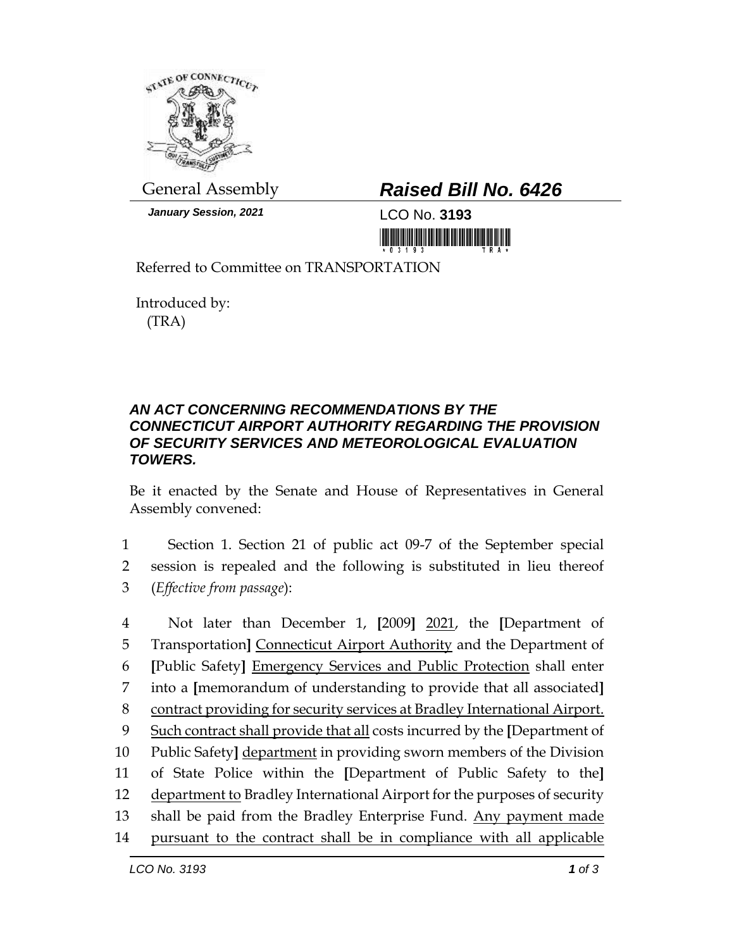

*January Session, 2021* LCO No. **3193**

## General Assembly *Raised Bill No. 6426*

Referred to Committee on TRANSPORTATION

Introduced by: (TRA)

## *AN ACT CONCERNING RECOMMENDATIONS BY THE CONNECTICUT AIRPORT AUTHORITY REGARDING THE PROVISION OF SECURITY SERVICES AND METEOROLOGICAL EVALUATION TOWERS.*

Be it enacted by the Senate and House of Representatives in General Assembly convened:

1 Section 1. Section 21 of public act 09-7 of the September special 2 session is repealed and the following is substituted in lieu thereof 3 (*Effective from passage*):

 Not later than December 1, **[**2009**]** 2021, the **[**Department of Transportation**]** Connecticut Airport Authority and the Department of **[**Public Safety**]** Emergency Services and Public Protection shall enter into a **[**memorandum of understanding to provide that all associated**]** contract providing for security services at Bradley International Airport. Such contract shall provide that all costs incurred by the **[**Department of Public Safety**]** department in providing sworn members of the Division of State Police within the **[**Department of Public Safety to the**]** 12 department to Bradley International Airport for the purposes of security 13 shall be paid from the Bradley Enterprise Fund. Any payment made pursuant to the contract shall be in compliance with all applicable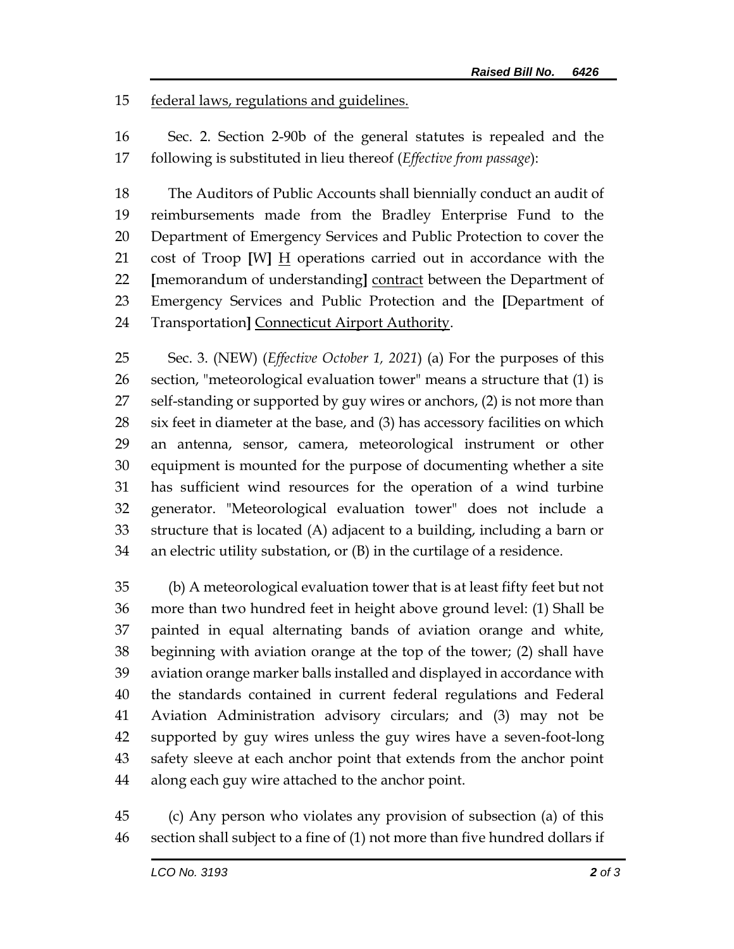federal laws, regulations and guidelines.

 Sec. 2. Section 2-90b of the general statutes is repealed and the following is substituted in lieu thereof (*Effective from passage*):

 The Auditors of Public Accounts shall biennially conduct an audit of reimbursements made from the Bradley Enterprise Fund to the Department of Emergency Services and Public Protection to cover the cost of Troop **[**W**]** H operations carried out in accordance with the **[**memorandum of understanding**]** contract between the Department of Emergency Services and Public Protection and the **[**Department of Transportation**]** Connecticut Airport Authority.

 Sec. 3. (NEW) (*Effective October 1, 2021*) (a) For the purposes of this section, "meteorological evaluation tower" means a structure that (1) is self-standing or supported by guy wires or anchors, (2) is not more than six feet in diameter at the base, and (3) has accessory facilities on which an antenna, sensor, camera, meteorological instrument or other equipment is mounted for the purpose of documenting whether a site has sufficient wind resources for the operation of a wind turbine generator. "Meteorological evaluation tower" does not include a structure that is located (A) adjacent to a building, including a barn or an electric utility substation, or (B) in the curtilage of a residence.

 (b) A meteorological evaluation tower that is at least fifty feet but not more than two hundred feet in height above ground level: (1) Shall be painted in equal alternating bands of aviation orange and white, beginning with aviation orange at the top of the tower; (2) shall have aviation orange marker balls installed and displayed in accordance with the standards contained in current federal regulations and Federal Aviation Administration advisory circulars; and (3) may not be supported by guy wires unless the guy wires have a seven-foot-long safety sleeve at each anchor point that extends from the anchor point along each guy wire attached to the anchor point.

 (c) Any person who violates any provision of subsection (a) of this section shall subject to a fine of (1) not more than five hundred dollars if